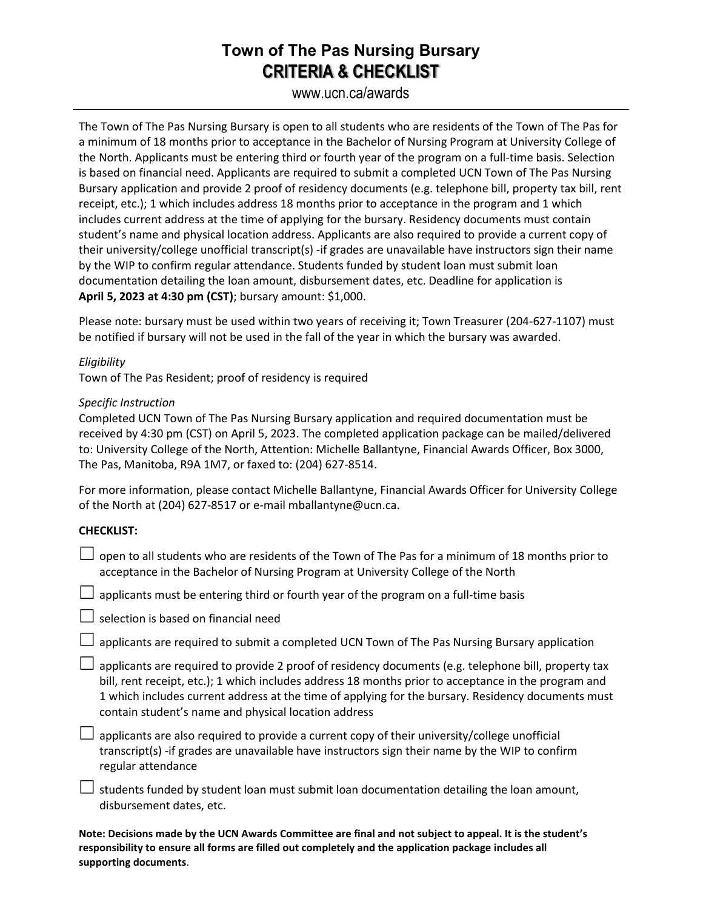## **Town of The Pas Nursing Bursary CRITERIA & CHECKLIST**

### www.ucn.ca/awards

The Town of The Pas Nursing Bursary is open to all students who are residents of the Town of The Pas for a minimum of 18 months prior to acceptance in the Bachelor of Nursing Program at University College of the North. Applicants must be entering third or fourth year of the program on a full-time basis. Selection is based on financial need. Applicants are required to submit a completed UCN Town of The Pas Nursing Bursary application and provide 2 proof of residency documents (e.g. telephone bill, property tax bill, rent receipt, etc.); 1 which includes address 18 months prior to acceptance in the program and 1 which includes current address at the time of applying for the bursary. Residency documents must contain student's name and physical location address. Applicants are also required to provide a current copy of their university/college unofficial transcript(s) -if grades are unavailable have instructors sign their name by the WIP to confirm regular attendance. Students funded by student loan must submit loan documentation detailing the loan amount, disbursement dates, etc. Deadline for application is **April 5, 2023 at 4:30 pm (CST)**; bursary amount: \$1,000.

Please note: bursary must be used within two years of receiving it; Town Treasurer (204-627-1107) must be notified if bursary will not be used in the fall of the year in which the bursary was awarded.

*Eligibility* Town of The Pas Resident; proof of residency is required

#### *Specific Instruction*

Completed UCN Town of The Pas Nursing Bursary application and required documentation must be received by 4:30 pm (CST) on April 5, 2023. The completed application package can be mailed/delivered to: University College of the North, Attention: Michelle Ballantyne, Financial Awards Officer, Box 3000, The Pas, Manitoba, R9A 1M7, or faxed to: (204) 627-8514.

For more information, please contact Michelle Ballantyne, Financial Awards Officer for University College of the North at (204) 627-8517 or e-mail mballantyne@ucn.ca.

#### **CHECKLIST:**

 $\Box$  open to all students who are residents of the Town of The Pas for a minimum of 18 months prior to acceptance in the Bachelor of Nursing Program at University College of the North

 $\Box$  applicants must be entering third or fourth year of the program on a full-time basis

 $\Box$  selection is based on financial need

 $\Box$  applicants are required to submit a completed UCN Town of The Pas Nursing Bursary application

 $\Box$  applicants are required to provide 2 proof of residency documents (e.g. telephone bill, property tax bill, rent receipt, etc.); 1 which includes address 18 months prior to acceptance in the program and 1 which includes current address at the time of applying for the bursary. Residency documents must contain student's name and physical location address

 $\Box$  applicants are also required to provide a current copy of their university/college unofficial transcript(s) -if grades are unavailable have instructors sign their name by the WIP to confirm regular attendance

 $\Box$  students funded by student loan must submit loan documentation detailing the loan amount, disbursement dates, etc.

**Note: Decisions made by the UCN Awards Committee are final and not subject to appeal. It is the student's responsibility to ensure all forms are filled out completely and the application package includes all supporting documents**.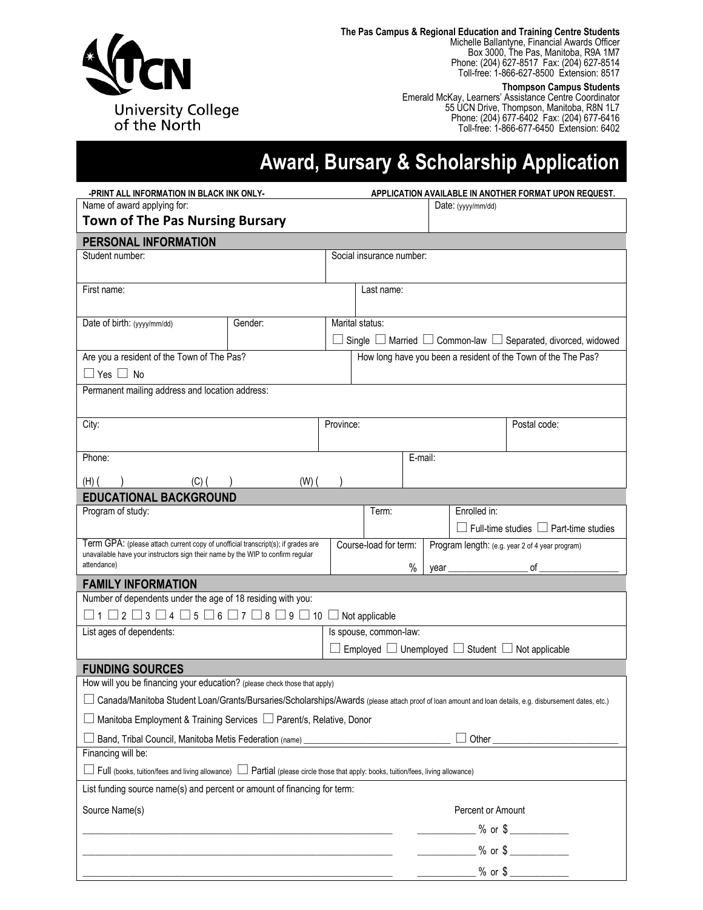

**The Pas Campus & Regional Education and Training Centre Students**

Michelle Ballantyne, Financial Awards Officer Box 3000, The Pas, Manitoba, R9A 1M7 Phone: (204) 627-8517 Fax: (204) 627-8514 Toll-free: 1-866-627-8500 Extension: 8517

#### **Thompson Campus Students**

Emerald McKay, Learners' Assistance Centre Coordinator 55 UCN Drive, Thompson, Manitoba, R8N 1L7 Phone: (204) 677-6402 Fax: (204) 677-6416 Toll-free: 1-866-677-6450 Extension: 6402

# **Award, Bursary & Scholarship Application**

| -PRINT ALL INFORMATION IN BLACK INK ONLY-                                                                                                                           |           | APPLICATION AVAILABLE IN ANOTHER FORMAT UPON REQUEST. |                                                                             |      |      |                   |                                                   |  |  |
|---------------------------------------------------------------------------------------------------------------------------------------------------------------------|-----------|-------------------------------------------------------|-----------------------------------------------------------------------------|------|------|-------------------|---------------------------------------------------|--|--|
| Name of award applying for:                                                                                                                                         |           |                                                       | Date: $(yyy/mm/dd)$                                                         |      |      |                   |                                                   |  |  |
| <b>Town of The Pas Nursing Bursary</b>                                                                                                                              |           |                                                       |                                                                             |      |      |                   |                                                   |  |  |
| PERSONAL INFORMATION                                                                                                                                                |           |                                                       |                                                                             |      |      |                   |                                                   |  |  |
| Student number:                                                                                                                                                     |           |                                                       | Social insurance number:                                                    |      |      |                   |                                                   |  |  |
|                                                                                                                                                                     |           |                                                       |                                                                             |      |      |                   |                                                   |  |  |
| First name:                                                                                                                                                         |           |                                                       | Last name:                                                                  |      |      |                   |                                                   |  |  |
|                                                                                                                                                                     |           |                                                       |                                                                             |      |      |                   |                                                   |  |  |
| Date of birth: (yyyy/mm/dd)                                                                                                                                         | Gender:   |                                                       | Marital status:                                                             |      |      |                   |                                                   |  |  |
|                                                                                                                                                                     |           |                                                       | Single $\Box$ Married $\Box$ Common-law $\Box$ Separated, divorced, widowed |      |      |                   |                                                   |  |  |
| Are you a resident of the Town of The Pas?                                                                                                                          |           |                                                       | How long have you been a resident of the Town of the The Pas?               |      |      |                   |                                                   |  |  |
| $\Box$ Yes $\Box$ No                                                                                                                                                |           |                                                       |                                                                             |      |      |                   |                                                   |  |  |
| Permanent mailing address and location address:                                                                                                                     |           |                                                       |                                                                             |      |      |                   |                                                   |  |  |
|                                                                                                                                                                     |           |                                                       |                                                                             |      |      |                   |                                                   |  |  |
| City:                                                                                                                                                               |           | Province:                                             |                                                                             |      |      |                   | Postal code:                                      |  |  |
|                                                                                                                                                                     |           |                                                       |                                                                             |      |      |                   |                                                   |  |  |
| Phone:                                                                                                                                                              |           |                                                       | E-mail:                                                                     |      |      |                   |                                                   |  |  |
| $(H)$ $($<br>$(C)$ ( )                                                                                                                                              | $(W)$ $($ |                                                       |                                                                             |      |      |                   |                                                   |  |  |
| <b>EDUCATIONAL BACKGROUND</b>                                                                                                                                       |           |                                                       |                                                                             |      |      |                   |                                                   |  |  |
| Program of study:                                                                                                                                                   |           |                                                       | Term:                                                                       |      |      | Enrolled in:      |                                                   |  |  |
|                                                                                                                                                                     |           |                                                       |                                                                             |      |      |                   | $\Box$ Full-time studies $\Box$ Part-time studies |  |  |
| Term GPA: (please attach current copy of unofficial transcript(s); if grades are<br>unavailable have your instructors sign their name by the WIP to confirm regular |           |                                                       | Course-load for term:<br>Program length: (e.g. year 2 of 4 year program)    |      |      |                   |                                                   |  |  |
| attendance)                                                                                                                                                         |           |                                                       |                                                                             | $\%$ | year |                   |                                                   |  |  |
| <b>FAMILY INFORMATION</b>                                                                                                                                           |           |                                                       |                                                                             |      |      |                   |                                                   |  |  |
| Number of dependents under the age of 18 residing with you:                                                                                                         |           |                                                       |                                                                             |      |      |                   |                                                   |  |  |
| $\Box$ 1 $\Box$ 2 $\Box$ 3 $\Box$ 4 $\Box$ 5 $\Box$ 6 $\Box$ 7 $\Box$ 8 $\Box$ 9 $\Box$ 10 $\Box$ Not applicable                                                    |           |                                                       |                                                                             |      |      |                   |                                                   |  |  |
| List ages of dependents:                                                                                                                                            |           |                                                       | Is spouse, common-law:                                                      |      |      |                   |                                                   |  |  |
| $\Box$ Employed $\Box$ Unemployed $\Box$ Student $\Box$ Not applicable                                                                                              |           |                                                       |                                                                             |      |      |                   |                                                   |  |  |
| <b>FUNDING SOURCES</b>                                                                                                                                              |           |                                                       |                                                                             |      |      |                   |                                                   |  |  |
| How will you be financing your education? (please check those that apply)                                                                                           |           |                                                       |                                                                             |      |      |                   |                                                   |  |  |
| Canada/Manitoba Student Loan/Grants/Bursaries/Scholarships/Awards (please attach proof of loan amount and loan details, e.g. disbursement dates, etc.)              |           |                                                       |                                                                             |      |      |                   |                                                   |  |  |
| Manitoba Employment & Training Services □ Parent/s, Relative, Donor                                                                                                 |           |                                                       |                                                                             |      |      |                   |                                                   |  |  |
| Band, Tribal Council, Manitoba Metis Federation (name) _________________________<br>Other                                                                           |           |                                                       |                                                                             |      |      |                   |                                                   |  |  |
| Financing will be:                                                                                                                                                  |           |                                                       |                                                                             |      |      |                   |                                                   |  |  |
| □ Full (books, tuition/fees and living allowance) □ Partial (please circle those that apply: books, tuition/fees, living allowance)                                 |           |                                                       |                                                                             |      |      |                   |                                                   |  |  |
| List funding source name(s) and percent or amount of financing for term:                                                                                            |           |                                                       |                                                                             |      |      |                   |                                                   |  |  |
| Source Name(s)                                                                                                                                                      |           |                                                       |                                                                             |      |      | Percent or Amount |                                                   |  |  |
|                                                                                                                                                                     |           |                                                       | $%$ or $\frac{6}{2}$                                                        |      |      |                   |                                                   |  |  |
|                                                                                                                                                                     |           |                                                       |                                                                             |      |      |                   |                                                   |  |  |
|                                                                                                                                                                     |           |                                                       |                                                                             |      |      |                   | $\_$ % or \$                                      |  |  |
|                                                                                                                                                                     |           |                                                       |                                                                             |      |      |                   |                                                   |  |  |